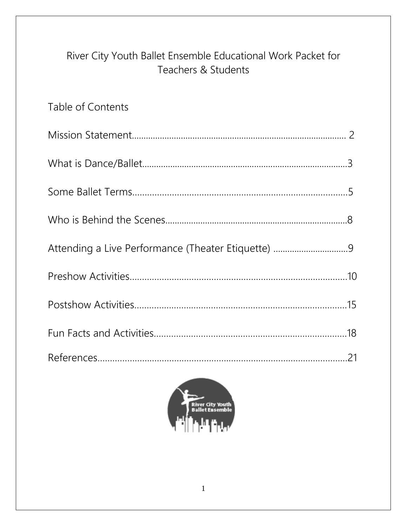# River City Youth Ballet Ensemble Educational Work Packet for Teachers & Students

# Table of Contents Mission Statement............................................................................................ 2 What is Dance/Ballet........................................................................................3 Some Ballet Terms……………………………………………………………………………5 Who is Behind the Scenes..............................................................................8 Attending a Live Performance (Theater Etiquette) ................................9 Preshow Activities………………………………………………………………….…………10 Postshow Activities…………….…….………………………………………………………15 Fun Facts and Activities……………………………………………………………………18 References………………….………………………….…………………………………………21

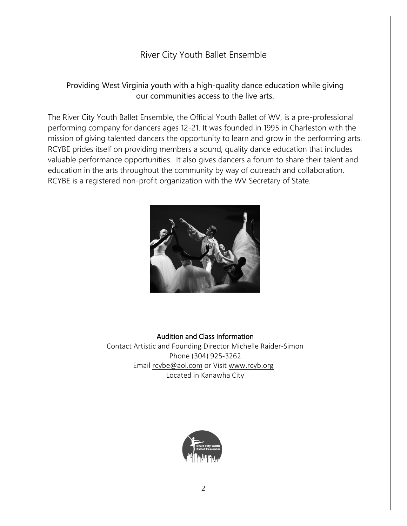# River City Youth Ballet Ensemble

## Providing West Virginia youth with a high-quality dance education while giving our communities access to the live arts.

The River City Youth Ballet Ensemble, the Official Youth Ballet of WV, is a pre-professional performing company for dancers ages 12-21. It was founded in 1995 in Charleston with the mission of giving talented dancers the opportunity to learn and grow in the performing arts. RCYBE prides itself on providing members a sound, quality dance education that includes valuable performance opportunities. It also gives dancers a forum to share their talent and education in the arts throughout the community by way of outreach and collaboration. RCYBE is a registered non-profit organization with the WV Secretary of State.



#### Audition and Class Information

Contact Artistic and Founding Director Michelle Raider-Simon Phone (304) 925-3262 Email [rcybe@aol.com](mailto:rcybe@aol.com) or Visit [www.rcyb.org](http://www.rcyb.org/) Located in Kanawha City

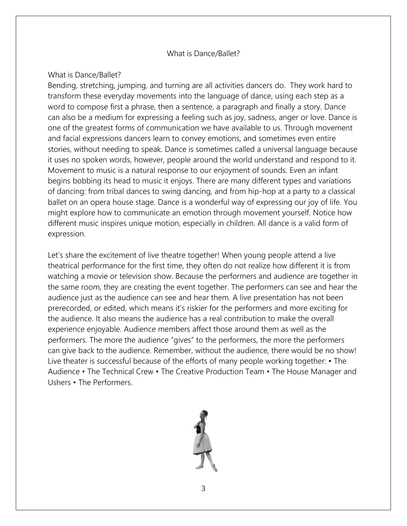#### What is Dance/Ballet?

#### What is Dance/Ballet?

Bending, stretching, jumping, and turning are all activities dancers do. They work hard to transform these everyday movements into the language of dance, using each step as a word to compose first a phrase, then a sentence, a paragraph and finally a story. Dance can also be a medium for expressing a feeling such as joy, sadness, anger or love. Dance is one of the greatest forms of communication we have available to us. Through movement and facial expressions dancers learn to convey emotions, and sometimes even entire stories, without needing to speak. Dance is sometimes called a universal language because it uses no spoken words, however, people around the world understand and respond to it. Movement to music is a natural response to our enjoyment of sounds. Even an infant begins bobbing its head to music it enjoys. There are many different types and variations of dancing: from tribal dances to swing dancing, and from hip-hop at a party to a classical ballet on an opera house stage. Dance is a wonderful way of expressing our joy of life. You might explore how to communicate an emotion through movement yourself. Notice how different music inspires unique motion, especially in children. All dance is a valid form of expression.

Let's share the excitement of live theatre together! When young people attend a live theatrical performance for the first time, they often do not realize how different it is from watching a movie or television show. Because the performers and audience are together in the same room, they are creating the event together. The performers can see and hear the audience just as the audience can see and hear them. A live presentation has not been prerecorded, or edited, which means it's riskier for the performers and more exciting for the audience. It also means the audience has a real contribution to make the overall experience enjoyable. Audience members affect those around them as well as the performers. The more the audience "gives" to the performers, the more the performers can give back to the audience. Remember, without the audience, there would be no show! Live theater is successful because of the efforts of many people working together: • The Audience • The Technical Crew • The Creative Production Team • The House Manager and Ushers • The Performers.

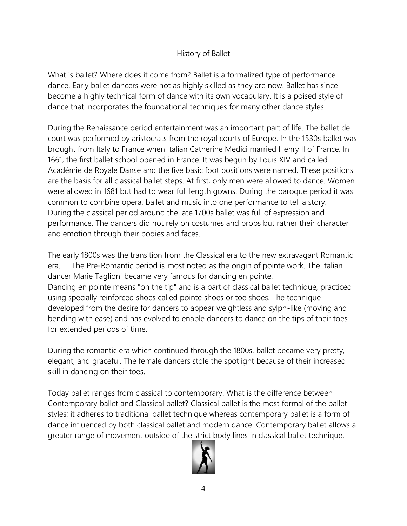## History of Ballet

What is ballet? Where does it come from? Ballet is a formalized type of performance dance. Early ballet dancers were not as highly skilled as they are now. Ballet has since become a highly technical form of dance with its own vocabulary. It is a poised style of dance that incorporates the foundational techniques for many other dance styles.

During the Renaissance period entertainment was an important part of life. The ballet de court was performed by aristocrats from the royal courts of Europe. In the 1530s ballet was brought from Italy to France when Italian Catherine Medici married Henry II of France. In 1661, the first ballet school opened in France. It was begun by Louis XIV and called Académie de Royale Danse and the five basic foot positions were named. These positions are the basis for all classical ballet steps. At first, only men were allowed to dance. Women were allowed in 1681 but had to wear full length gowns. During the baroque period it was common to combine opera, ballet and music into one performance to tell a story. During the classical period around the late 1700s ballet was full of expression and performance. The dancers did not rely on costumes and props but rather their character and emotion through their bodies and faces.

The early 1800s was the transition from the Classical era to the new extravagant Romantic era. The Pre-Romantic period is most noted as the origin of pointe work. The Italian dancer Marie Taglioni became very famous for dancing en pointe. Dancing en pointe means "on the tip" and is a part of classical ballet technique, practiced using specially reinforced shoes called pointe shoes or toe shoes. The technique developed from the desire for dancers to appear weightless and sylph-like (moving and bending with ease) and has evolved to enable dancers to dance on the tips of their toes for extended periods of time.

During the romantic era which continued through the 1800s, ballet became very pretty, elegant, and graceful. The female dancers stole the spotlight because of their increased skill in dancing on their toes.

Today ballet ranges from classical to contemporary. What is the difference between Contemporary ballet and Classical ballet? Classical ballet is the most formal of the ballet styles; it adheres to traditional ballet technique whereas contemporary ballet is a form of dance influenced by both classical ballet and modern dance. Contemporary ballet allows a greater range of movement outside of the strict body lines in classical ballet technique.

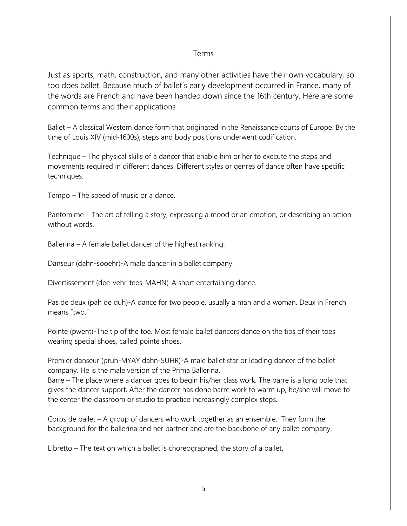#### Terms

Just as sports, math, construction, and many other activities have their own vocabulary, so too does ballet. Because much of ballet's early development occurred in France, many of the words are French and have been handed down since the 16th century. Here are some common terms and their applications

Ballet – A classical Western dance form that originated in the Renaissance courts of Europe. By the time of Louis XIV (mid-1600s), steps and body positions underwent codification.

Technique – The physical skills of a dancer that enable him or her to execute the steps and movements required in different dances. Different styles or genres of dance often have specific techniques.

Tempo – The speed of music or a dance.

Pantomime – The art of telling a story, expressing a mood or an emotion, or describing an action without words.

Ballerina – A female ballet dancer of the highest ranking.

Danseur (dahn-sooehr)-A male dancer in a ballet company.

Divertissement (dee-vehr-tees-MAHN)-A short entertaining dance.

Pas de deux (pah de duh)-A dance for two people, usually a man and a woman. Deux in French means "two."

Pointe (pwent)-The tip of the toe. Most female ballet dancers dance on the tips of their toes wearing special shoes, called pointe shoes.

Premier danseur (pruh-MYAY dahn-SUHR)-A male ballet star or leading dancer of the ballet company. He is the male version of the Prima Ballerina.

Barre – The place where a dancer goes to begin his/her class work. The barre is a long pole that gives the dancer support. After the dancer has done barre work to warm up, he/she will move to the center the classroom or studio to practice increasingly complex steps.

Corps de ballet – A group of dancers who work together as an ensemble. They form the background for the ballerina and her partner and are the backbone of any ballet company.

Libretto – The text on which a ballet is choreographed; the story of a ballet.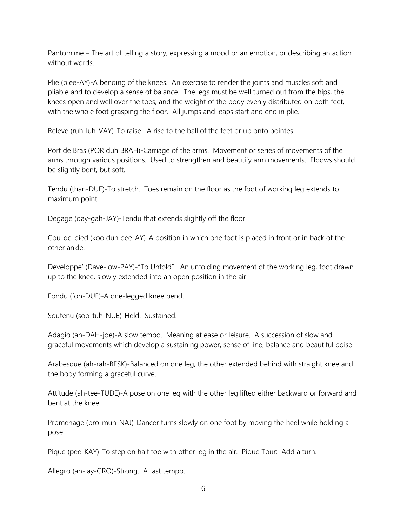Pantomime – The art of telling a story, expressing a mood or an emotion, or describing an action without words.

Plie (plee-AY)-A bending of the knees. An exercise to render the joints and muscles soft and pliable and to develop a sense of balance. The legs must be well turned out from the hips, the knees open and well over the toes, and the weight of the body evenly distributed on both feet, with the whole foot grasping the floor. All jumps and leaps start and end in plie.

Releve (ruh-luh-VAY)-To raise. A rise to the ball of the feet or up onto pointes.

Port de Bras (POR duh BRAH)-Carriage of the arms. Movement or series of movements of the arms through various positions. Used to strengthen and beautify arm movements. Elbows should be slightly bent, but soft.

Tendu (than-DUE)-To stretch. Toes remain on the floor as the foot of working leg extends to maximum point.

Degage (day-gah-JAY)-Tendu that extends slightly off the floor.

Cou-de-pied (koo duh pee-AY)-A position in which one foot is placed in front or in back of the other ankle.

Developpe' (Dave-low-PAY)-"To Unfold" An unfolding movement of the working leg, foot drawn up to the knee, slowly extended into an open position in the air

Fondu (fon-DUE)-A one-legged knee bend.

Soutenu (soo-tuh-NUE)-Held. Sustained.

Adagio (ah-DAH-joe)-A slow tempo. Meaning at ease or leisure. A succession of slow and graceful movements which develop a sustaining power, sense of line, balance and beautiful poise.

Arabesque (ah-rah-BESK)-Balanced on one leg, the other extended behind with straight knee and the body forming a graceful curve.

Attitude (ah-tee-TUDE)-A pose on one leg with the other leg lifted either backward or forward and bent at the knee

Promenage (pro-muh-NAJ)-Dancer turns slowly on one foot by moving the heel while holding a pose.

Pique (pee-KAY)-To step on half toe with other leg in the air. Pique Tour: Add a turn.

Allegro (ah-lay-GRO)-Strong. A fast tempo.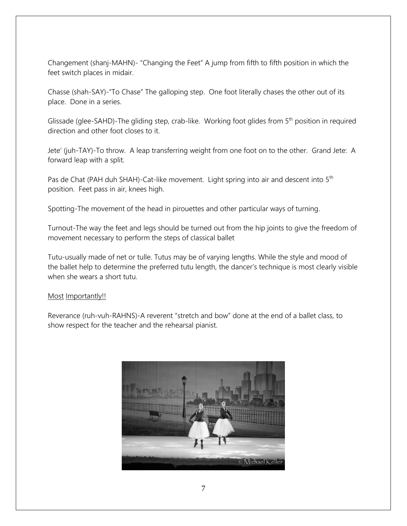Changement (shanj-MAHN)- "Changing the Feet" A jump from fifth to fifth position in which the feet switch places in midair.

Chasse (shah-SAY)-"To Chase" The galloping step. One foot literally chases the other out of its place. Done in a series.

Glissade (glee-SAHD)-The gliding step, crab-like. Working foot glides from 5<sup>th</sup> position in required direction and other foot closes to it.

Jete' (juh-TAY)-To throw. A leap transferring weight from one foot on to the other. Grand Jete: A forward leap with a split.

Pas de Chat (PAH duh SHAH)-Cat-like movement. Light spring into air and descent into 5<sup>th</sup> position. Feet pass in air, knees high.

Spotting-The movement of the head in pirouettes and other particular ways of turning.

Turnout-The way the feet and legs should be turned out from the hip joints to give the freedom of movement necessary to perform the steps of classical ballet

Tutu-usually made of net or tulle. Tutus may be of varying lengths. While the style and mood of the ballet help to determine the preferred tutu length, the dancer's technique is most clearly visible when she wears a short tutu.

#### Most Importantly!!

Reverance (ruh-vuh-RAHNS)-A reverent "stretch and bow" done at the end of a ballet class, to show respect for the teacher and the rehearsal pianist.

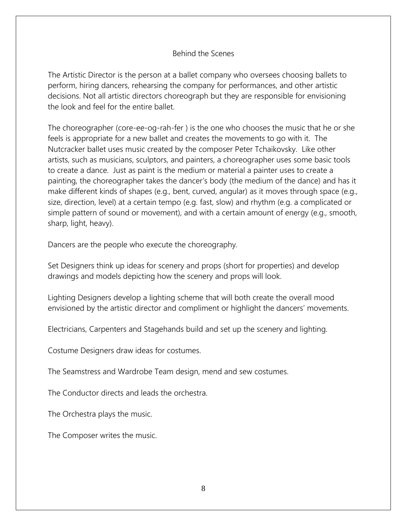#### Behind the Scenes

The Artistic Director is the person at a ballet company who oversees choosing ballets to perform, hiring dancers, rehearsing the company for performances, and other artistic decisions. Not all artistic directors choreograph but they are responsible for envisioning the look and feel for the entire ballet.

The choreographer (core-ee-og-rah-fer ) is the one who chooses the music that he or she feels is appropriate for a new ballet and creates the movements to go with it. The Nutcracker ballet uses music created by the composer Peter Tchaikovsky. Like other artists, such as musicians, sculptors, and painters, a choreographer uses some basic tools to create a dance. Just as paint is the medium or material a painter uses to create a painting, the choreographer takes the dancer's body (the medium of the dance) and has it make different kinds of shapes (e.g., bent, curved, angular) as it moves through space (e.g., size, direction, level) at a certain tempo (e.g. fast, slow) and rhythm (e.g. a complicated or simple pattern of sound or movement), and with a certain amount of energy (e.g., smooth, sharp, light, heavy).

Dancers are the people who execute the choreography.

Set Designers think up ideas for scenery and props (short for properties) and develop drawings and models depicting how the scenery and props will look.

Lighting Designers develop a lighting scheme that will both create the overall mood envisioned by the artistic director and compliment or highlight the dancers' movements.

Electricians, Carpenters and Stagehands build and set up the scenery and lighting.

Costume Designers draw ideas for costumes.

The Seamstress and Wardrobe Team design, mend and sew costumes.

The Conductor directs and leads the orchestra.

The Orchestra plays the music.

The Composer writes the music.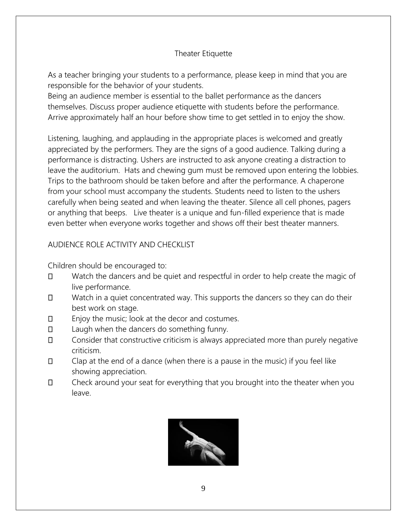## Theater Etiquette

As a teacher bringing your students to a performance, please keep in mind that you are responsible for the behavior of your students.

Being an audience member is essential to the ballet performance as the dancers themselves. Discuss proper audience etiquette with students before the performance. Arrive approximately half an hour before show time to get settled in to enjoy the show.

Listening, laughing, and applauding in the appropriate places is welcomed and greatly appreciated by the performers. They are the signs of a good audience. Talking during a performance is distracting. Ushers are instructed to ask anyone creating a distraction to leave the auditorium. Hats and chewing gum must be removed upon entering the lobbies. Trips to the bathroom should be taken before and after the performance. A chaperone from your school must accompany the students. Students need to listen to the ushers carefully when being seated and when leaving the theater. Silence all cell phones, pagers or anything that beeps. Live theater is a unique and fun-filled experience that is made even better when everyone works together and shows off their best theater manners.

# AUDIENCE ROLE ACTIVITY AND CHECKLIST

Children should be encouraged to:

- Watch the dancers and be quiet and respectful in order to help create the magic of  $\Box$ live performance.
- $\Box$ Watch in a quiet concentrated way. This supports the dancers so they can do their best work on stage.
- $\Box$ Enjoy the music; look at the decor and costumes.
- $\Box$ Laugh when the dancers do something funny.
- $\Box$ Consider that constructive criticism is always appreciated more than purely negative criticism.
- $\Box$ Clap at the end of a dance (when there is a pause in the music) if you feel like showing appreciation.
- $\Box$ Check around your seat for everything that you brought into the theater when you leave.

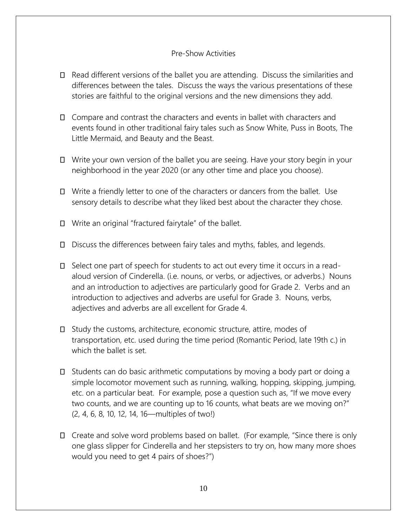#### Pre-Show Activities

- Read different versions of the ballet you are attending. Discuss the similarities and differences between the tales. Discuss the ways the various presentations of these stories are faithful to the original versions and the new dimensions they add.
- Compare and contrast the characters and events in ballet with characters and events found in other traditional fairy tales such as Snow White, Puss in Boots, The Little Mermaid, and Beauty and the Beast.
- Write your own version of the ballet you are seeing. Have your story begin in your neighborhood in the year 2020 (or any other time and place you choose).
- Write a friendly letter to one of the characters or dancers from the ballet. Use sensory details to describe what they liked best about the character they chose.
- Write an original "fractured fairytale" of the ballet.
- Discuss the differences between fairy tales and myths, fables, and legends.
- □ Select one part of speech for students to act out every time it occurs in a readaloud version of Cinderella. (i.e. nouns, or verbs, or adjectives, or adverbs.) Nouns and an introduction to adjectives are particularly good for Grade 2. Verbs and an introduction to adjectives and adverbs are useful for Grade 3. Nouns, verbs, adjectives and adverbs are all excellent for Grade 4.
- Study the customs, architecture, economic structure, attire, modes of transportation, etc. used during the time period (Romantic Period, late 19th c.) in which the ballet is set.
- $\Box$  Students can do basic arithmetic computations by moving a body part or doing a simple locomotor movement such as running, walking, hopping, skipping, jumping, etc. on a particular beat. For example, pose a question such as, "If we move every two counts, and we are counting up to 16 counts, what beats are we moving on?" (2, 4, 6, 8, 10, 12, 14, 16—multiples of two!)
- Create and solve word problems based on ballet. (For example, "Since there is only one glass slipper for Cinderella and her stepsisters to try on, how many more shoes would you need to get 4 pairs of shoes?")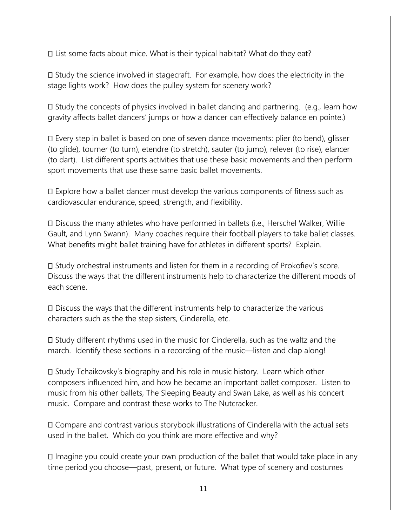List some facts about mice. What is their typical habitat? What do they eat?

Study the science involved in stagecraft. For example, how does the electricity in the stage lights work? How does the pulley system for scenery work?

 $\square$  Study the concepts of physics involved in ballet dancing and partnering. (e.g., learn how gravity affects ballet dancers' jumps or how a dancer can effectively balance en pointe.)

Every step in ballet is based on one of seven dance movements: plier (to bend), glisser (to glide), tourner (to turn), etendre (to stretch), sauter (to jump), relever (to rise), elancer (to dart). List different sports activities that use these basic movements and then perform sport movements that use these same basic ballet movements.

Explore how a ballet dancer must develop the various components of fitness such as cardiovascular endurance, speed, strength, and flexibility.

Discuss the many athletes who have performed in ballets (i.e., Herschel Walker, Willie Gault, and Lynn Swann). Many coaches require their football players to take ballet classes. What benefits might ballet training have for athletes in different sports? Explain.

Study orchestral instruments and listen for them in a recording of Prokofiev's score. Discuss the ways that the different instruments help to characterize the different moods of each scene.

Discuss the ways that the different instruments help to characterize the various characters such as the the step sisters, Cinderella, etc.

Study different rhythms used in the music for Cinderella, such as the waltz and the march. Identify these sections in a recording of the music—listen and clap along!

Study Tchaikovsky's biography and his role in music history. Learn which other composers influenced him, and how he became an important ballet composer. Listen to music from his other ballets, The Sleeping Beauty and Swan Lake, as well as his concert music. Compare and contrast these works to The Nutcracker.

Compare and contrast various storybook illustrations of Cinderella with the actual sets used in the ballet. Which do you think are more effective and why?

Imagine you could create your own production of the ballet that would take place in any time period you choose—past, present, or future. What type of scenery and costumes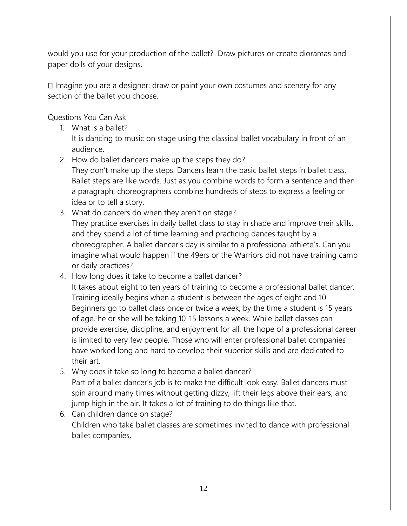would you use for your production of the ballet? Draw pictures or create dioramas and paper dolls of your designs.

Imagine you are a designer: draw or paint your own costumes and scenery for any section of the ballet you choose.

Questions You Can Ask

1. What is a ballet?

It is dancing to music on stage using the classical ballet vocabulary in front of an audience.

2. How do ballet dancers make up the steps they do?

They don't make up the steps. Dancers learn the basic ballet steps in ballet class. Ballet steps are like words. Just as you combine words to form a sentence and then a paragraph, choreographers combine hundreds of steps to express a feeling or idea or to tell a story.

- 3. What do dancers do when they aren't on stage? They practice exercises in daily ballet class to stay in shape and improve their skills, and they spend a lot of time learning and practicing dances taught by a choreographer. A ballet dancer's day is similar to a professional athlete's. Can you imagine what would happen if the 49ers or the Warriors did not have training camp or daily practices?
- 4. How long does it take to become a ballet dancer?

It takes about eight to ten years of training to become a professional ballet dancer. Training ideally begins when a student is between the ages of eight and 10. Beginners go to ballet class once or twice a week; by the time a student is 15 years of age, he or she will be taking 10-15 lessons a week. While ballet classes can provide exercise, discipline, and enjoyment for all, the hope of a professional career is limited to very few people. Those who will enter professional ballet companies have worked long and hard to develop their superior skills and are dedicated to their art.

- 5. Why does it take so long to become a ballet dancer? Part of a ballet dancer's job is to make the difficult look easy. Ballet dancers must spin around many times without getting dizzy, lift their legs above their ears, and jump high in the air. It takes a lot of training to do things like that.
- 6. Can children dance on stage? Children who take ballet classes are sometimes invited to dance with professional ballet companies.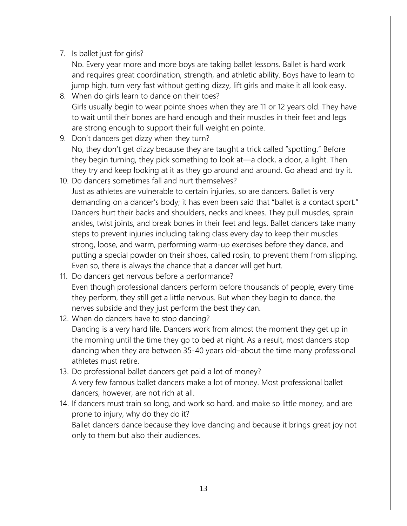7. Is ballet just for girls?

No. Every year more and more boys are taking ballet lessons. Ballet is hard work and requires great coordination, strength, and athletic ability. Boys have to learn to jump high, turn very fast without getting dizzy, lift girls and make it all look easy.

- 8. When do girls learn to dance on their toes? Girls usually begin to wear pointe shoes when they are 11 or 12 years old. They have to wait until their bones are hard enough and their muscles in their feet and legs are strong enough to support their full weight en pointe.
- 9. Don't dancers get dizzy when they turn? No, they don't get dizzy because they are taught a trick called "spotting." Before they begin turning, they pick something to look at—a clock, a door, a light. Then they try and keep looking at it as they go around and around. Go ahead and try it.
- 10. Do dancers sometimes fall and hurt themselves? Just as athletes are vulnerable to certain injuries, so are dancers. Ballet is very demanding on a dancer's body; it has even been said that "ballet is a contact sport." Dancers hurt their backs and shoulders, necks and knees. They pull muscles, sprain ankles, twist joints, and break bones in their feet and legs. Ballet dancers take many steps to prevent injuries including taking class every day to keep their muscles strong, loose, and warm, performing warm-up exercises before they dance, and putting a special powder on their shoes, called rosin, to prevent them from slipping. Even so, there is always the chance that a dancer will get hurt.
- 11. Do dancers get nervous before a performance? Even though professional dancers perform before thousands of people, every time they perform, they still get a little nervous. But when they begin to dance, the nerves subside and they just perform the best they can.
- 12. When do dancers have to stop dancing? Dancing is a very hard life. Dancers work from almost the moment they get up in the morning until the time they go to bed at night. As a result, most dancers stop dancing when they are between 35-40 years old–about the time many professional athletes must retire.
- 13. Do professional ballet dancers get paid a lot of money? A very few famous ballet dancers make a lot of money. Most professional ballet dancers, however, are not rich at all.
- 14. If dancers must train so long, and work so hard, and make so little money, and are prone to injury, why do they do it? Ballet dancers dance because they love dancing and because it brings great joy not only to them but also their audiences.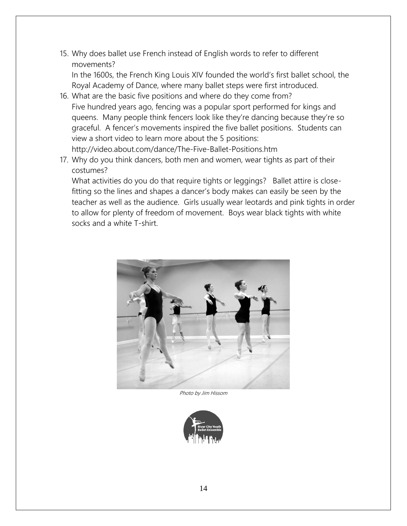15. Why does ballet use French instead of English words to refer to different movements?

In the 1600s, the French King Louis XIV founded the world's first ballet school, the Royal Academy of Dance, where many ballet steps were first introduced.

- 16. What are the basic five positions and where do they come from? Five hundred years ago, fencing was a popular sport performed for kings and queens. Many people think fencers look like they're dancing because they're so graceful. A fencer's movements inspired the five ballet positions. Students can view a short video to learn more about the 5 positions: http://video.about.com/dance/The-Five-Ballet-Positions.htm
- 17. Why do you think dancers, both men and women, wear tights as part of their costumes?

What activities do you do that require tights or leggings? Ballet attire is closefitting so the lines and shapes a dancer's body makes can easily be seen by the teacher as well as the audience. Girls usually wear leotards and pink tights in order to allow for plenty of freedom of movement. Boys wear black tights with white socks and a white T-shirt.



Photo by Jim Hissom

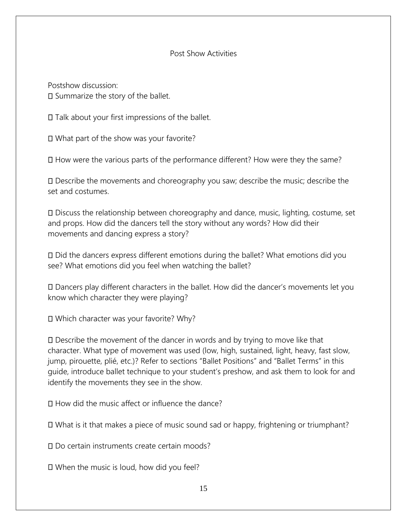#### Post Show Activities

Postshow discussion: □ Summarize the story of the ballet.

 $\square$  Talk about your first impressions of the ballet.

What part of the show was your favorite?

How were the various parts of the performance different? How were they the same?

Describe the movements and choreography you saw; describe the music; describe the set and costumes.

Discuss the relationship between choreography and dance, music, lighting, costume, set and props. How did the dancers tell the story without any words? How did their movements and dancing express a story?

Did the dancers express different emotions during the ballet? What emotions did you see? What emotions did you feel when watching the ballet?

Dancers play different characters in the ballet. How did the dancer's movements let you know which character they were playing?

Which character was your favorite? Why?

Describe the movement of the dancer in words and by trying to move like that character. What type of movement was used (low, high, sustained, light, heavy, fast slow, jump, pirouette, plié, etc.)? Refer to sections "Ballet Positions" and "Ballet Terms" in this guide, introduce ballet technique to your student's preshow, and ask them to look for and identify the movements they see in the show.

 $\Box$  How did the music affect or influence the dance?

What is it that makes a piece of music sound sad or happy, frightening or triumphant?

Do certain instruments create certain moods?

When the music is loud, how did you feel?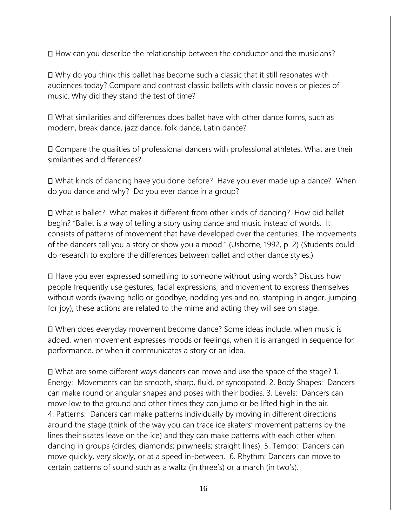How can you describe the relationship between the conductor and the musicians?

Why do you think this ballet has become such a classic that it still resonates with audiences today? Compare and contrast classic ballets with classic novels or pieces of music. Why did they stand the test of time?

What similarities and differences does ballet have with other dance forms, such as modern, break dance, jazz dance, folk dance, Latin dance?

Compare the qualities of professional dancers with professional athletes. What are their similarities and differences?

What kinds of dancing have you done before? Have you ever made up a dance? When do you dance and why? Do you ever dance in a group?

What is ballet? What makes it different from other kinds of dancing? How did ballet begin? "Ballet is a way of telling a story using dance and music instead of words. It consists of patterns of movement that have developed over the centuries. The movements of the dancers tell you a story or show you a mood." (Usborne, 1992, p. 2) (Students could do research to explore the differences between ballet and other dance styles.)

Have you ever expressed something to someone without using words? Discuss how people frequently use gestures, facial expressions, and movement to express themselves without words (waving hello or goodbye, nodding yes and no, stamping in anger, jumping for joy); these actions are related to the mime and acting they will see on stage.

When does everyday movement become dance? Some ideas include: when music is added, when movement expresses moods or feelings, when it is arranged in sequence for performance, or when it communicates a story or an idea.

What are some different ways dancers can move and use the space of the stage? 1. Energy: Movements can be smooth, sharp, fluid, or syncopated. 2. Body Shapes: Dancers can make round or angular shapes and poses with their bodies. 3. Levels: Dancers can move low to the ground and other times they can jump or be lifted high in the air. 4. Patterns: Dancers can make patterns individually by moving in different directions around the stage (think of the way you can trace ice skaters' movement patterns by the lines their skates leave on the ice) and they can make patterns with each other when dancing in groups (circles; diamonds; pinwheels; straight lines). 5. Tempo: Dancers can move quickly, very slowly, or at a speed in-between. 6. Rhythm: Dancers can move to certain patterns of sound such as a waltz (in three's) or a march (in two's).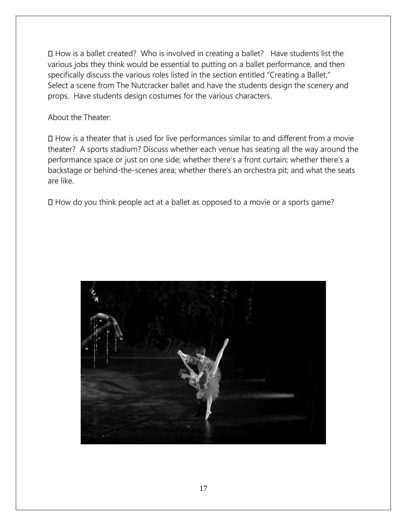How is a ballet created? Who is involved in creating a ballet? Have students list the various jobs they think would be essential to putting on a ballet performance, and then specifically discuss the various roles listed in the section entitled "Creating a Ballet." Select a scene from The Nutcracker ballet and have the students design the scenery and props. Have students design costumes for the various characters.

About the Theater:

How is a theater that is used for live performances similar to and different from a movie theater? A sports stadium? Discuss whether each venue has seating all the way around the performance space or just on one side; whether there's a front curtain; whether there's a backstage or behind-the-scenes area; whether there's an orchestra pit; and what the seats are like.

How do you think people act at a ballet as opposed to a movie or a sports game?

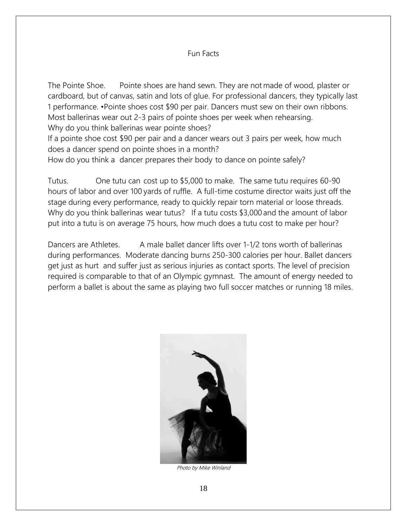#### Fun Facts

The Pointe Shoe. Pointe shoes are hand sewn. They are not made of wood, plaster or cardboard, but of canvas, satin and lots of glue. For professional dancers, they typically last 1 performance. •Pointe shoes cost \$90 per pair. Dancers must sew on their own ribbons. Most ballerinas wear out 2-3 pairs of pointe shoes per week when rehearsing. Why do you think ballerinas wear pointe shoes? If a pointe shoe cost \$90 per pair and a dancer wears out 3 pairs per week, how much does a dancer spend on pointe shoes in a month?

How do you think a dancer prepares their body to dance on pointe safely?

Tutus. One tutu can cost up to \$5,000 to make. The same tutu requires 60-90 hours of labor and over 100 yards of ruffle. A full-time costume director waits just off the stage during every performance, ready to quickly repair torn material or loose threads. Why do you think ballerinas wear tutus? If a tutu costs \$3,000 and the amount of labor put into a tutu is on average 75 hours, how much does a tutu cost to make per hour?

Dancers are Athletes. A male ballet dancer lifts over 1-1/2 tons worth of ballerinas during performances. Moderate dancing burns 250-300 calories per hour. Ballet dancers get just as hurt and suffer just as serious injuries as contact sports. The level of precision required is comparable to that of an Olympic gymnast. The amount of energy needed to perform a ballet is about the same as playing two full soccer matches or running 18 miles.



Photo by Mike Winland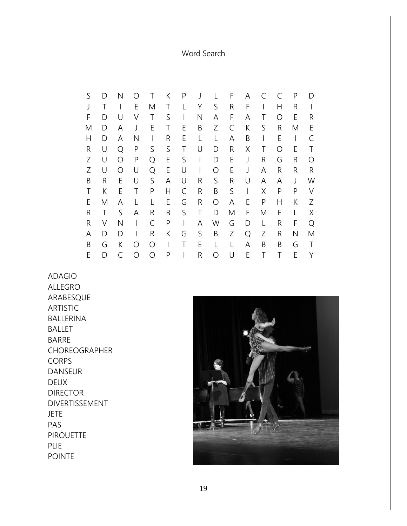Word Search

|   | D | Ν | ∩ |   | Κ | Ρ | J            |   | F | Α | C | C | P | D                |
|---|---|---|---|---|---|---|--------------|---|---|---|---|---|---|------------------|
|   |   |   | E | Μ | Τ |   | Υ            | S | R | F |   | Н | R |                  |
| F | D | U | ٧ | Τ | S | I | Ν            | А | F | Α | Τ | Ω | E | R                |
| M | D | Α | J | Ε | Τ | Ε | B            | Ζ | С | К | S | R | Μ | Ε                |
| Η | D | Α | Ν |   | R | Ε | L            |   | А | B | I | E |   |                  |
| R | U | Q | P | S | S | Τ | U            | D | R | Χ | Τ | Ω | E | Τ                |
| Ζ | U | O | P | Q | E | S | $\mathsf{I}$ | D | E | J | R | G | R | $\left( \right)$ |
| Ζ | U | O | U | Q | E | U | I            | Ω | E | J | Α | R | R | R                |
| B | R | Ε | U | S | А | U | R            | S | R | U | Α | А | J | W                |
| Τ | К | Ε | Τ | P | Н | C | R            | B | S |   | Χ | P | P | V                |
| Ε | Μ | A | L |   | Ε | G | R            | O | Α | E | P | Н | К | Ζ                |
| R | Τ | S | Α | R | Β | S | Τ            | D | M | F | Μ | Ε | L | Χ                |
| R | ٧ | Ν |   | C | Ρ | I | Α            | W | G | D | L | R | F | Ω                |
| Α | D | D |   | R | К | G | S            | Β | Ζ | Q | Ζ | R | Ν | Μ                |
| Β | G | К | Ω | Ω | I | Τ | E            |   | L | A | B | B | G | Τ                |
| Ε | D | C | ∩ | Ο | Ρ |   | R            |   | U | E |   |   | E | γ                |

ADAGIO ALLEGRO ARABESQUE ARTISTIC BALLERINA BALLET BARRE CHOREOGRAPHER CORPS DANSEUR DEUX DIRECTOR DIVERTISSEMENT JETE PAS **PIROUETTE** PLIE POINTE

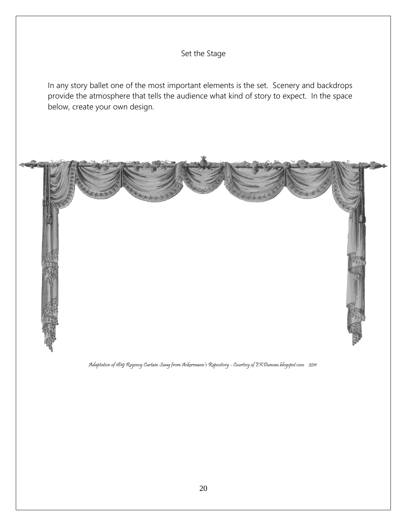

Adaptation of 1819 Regency Curtain Swag from Ackermann's Repository - Courtesy of EKDuncan.blogspot.com 2011